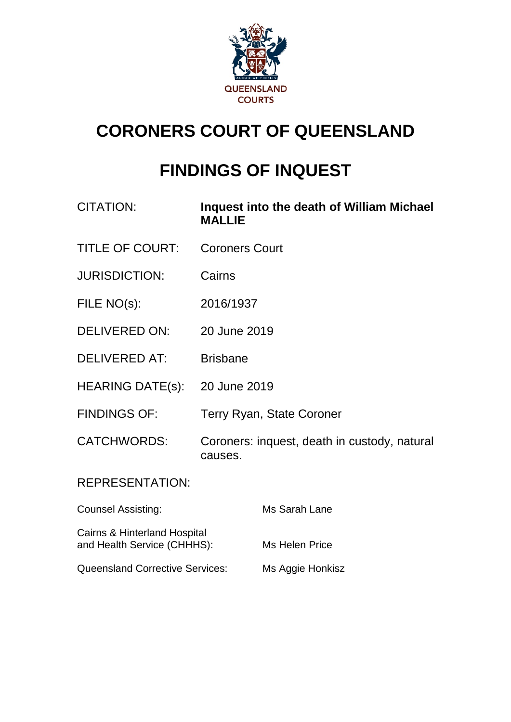

# **CORONERS COURT OF QUEENSLAND**

# **FINDINGS OF INQUEST**

| <b>CITATION:</b>          | Inquest into the death of William Michael<br><b>MALLIE</b> |  |
|---------------------------|------------------------------------------------------------|--|
| <b>TITLE OF COURT:</b>    | <b>Coroners Court</b>                                      |  |
| <b>JURISDICTION:</b>      | Cairns                                                     |  |
| FILE NO(s):               | 2016/1937                                                  |  |
| DELIVERED ON:             | 20 June 2019                                               |  |
| <b>DELIVERED AT:</b>      | <b>Brisbane</b>                                            |  |
| <b>HEARING DATE(s):</b>   | 20 June 2019                                               |  |
| <b>FINDINGS OF:</b>       | <b>Terry Ryan, State Coroner</b>                           |  |
| <b>CATCHWORDS:</b>        | Coroners: inquest, death in custody, natural<br>causes.    |  |
| <b>REPRESENTATION:</b>    |                                                            |  |
| <b>Counsel Assisting:</b> | Ms Sarah Lane                                              |  |

and Health Service (CHHHS): Ms Helen Price

Cairns & Hinterland Hospital

Queensland Corrective Services: Ms Aggie Honkisz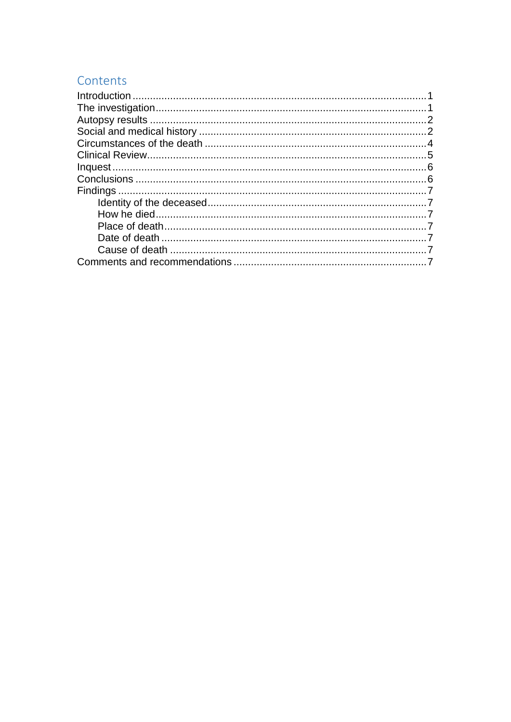# Contents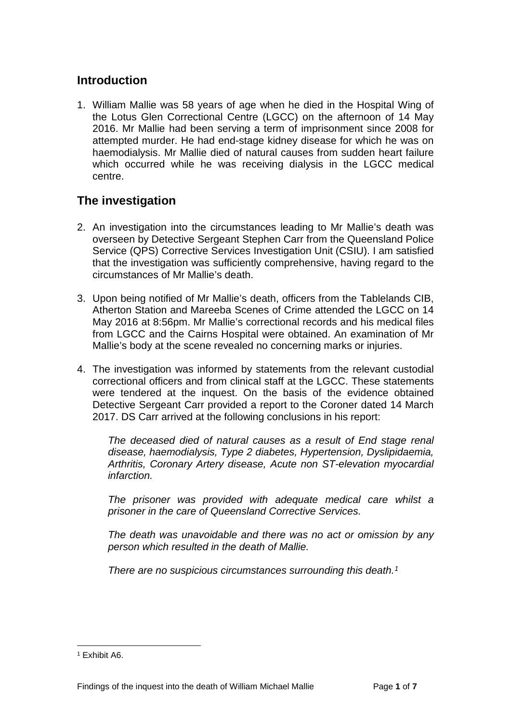## <span id="page-2-0"></span>**Introduction**

1. William Mallie was 58 years of age when he died in the Hospital Wing of the Lotus Glen Correctional Centre (LGCC) on the afternoon of 14 May 2016. Mr Mallie had been serving a term of imprisonment since 2008 for attempted murder. He had end-stage kidney disease for which he was on haemodialysis. Mr Mallie died of natural causes from sudden heart failure which occurred while he was receiving dialysis in the LGCC medical centre.

# <span id="page-2-1"></span>**The investigation**

- 2. An investigation into the circumstances leading to Mr Mallie's death was overseen by Detective Sergeant Stephen Carr from the Queensland Police Service (QPS) Corrective Services Investigation Unit (CSIU). I am satisfied that the investigation was sufficiently comprehensive, having regard to the circumstances of Mr Mallie's death.
- 3. Upon being notified of Mr Mallie's death, officers from the Tablelands CIB, Atherton Station and Mareeba Scenes of Crime attended the LGCC on 14 May 2016 at 8:56pm. Mr Mallie's correctional records and his medical files from LGCC and the Cairns Hospital were obtained. An examination of Mr Mallie's body at the scene revealed no concerning marks or injuries.
- 4. The investigation was informed by statements from the relevant custodial correctional officers and from clinical staff at the LGCC. These statements were tendered at the inquest. On the basis of the evidence obtained Detective Sergeant Carr provided a report to the Coroner dated 14 March 2017. DS Carr arrived at the following conclusions in his report:

*The deceased died of natural causes as a result of End stage renal disease, haemodialysis, Type 2 diabetes, Hypertension, Dyslipidaemia, Arthritis, Coronary Artery disease, Acute non ST-elevation myocardial infarction.*

*The prisoner was provided with adequate medical care whilst a prisoner in the care of Queensland Corrective Services.*

*The death was unavoidable and there was no act or omission by any person which resulted in the death of Mallie.*

*There are no suspicious circumstances surrounding this death.[1](#page-2-2)*

<span id="page-2-2"></span><sup>1</sup> Exhibit A6.  $\overline{a}$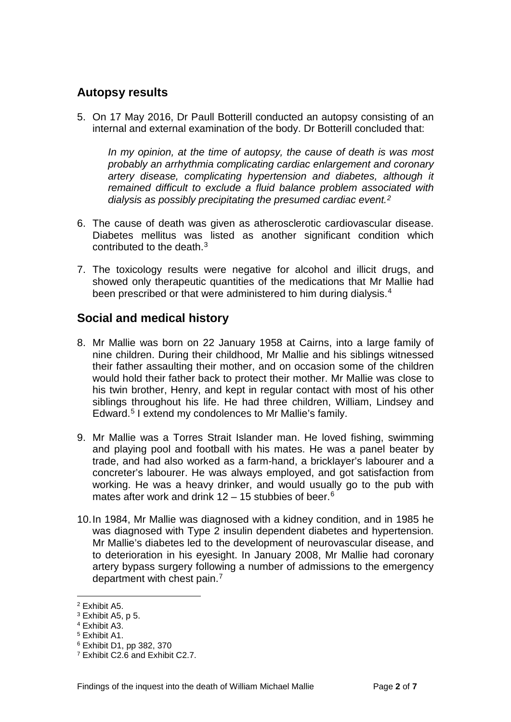## <span id="page-3-0"></span>**Autopsy results**

5. On 17 May 2016, Dr Paull Botterill conducted an autopsy consisting of an internal and external examination of the body. Dr Botterill concluded that:

*In my opinion, at the time of autopsy, the cause of death is was most probably an arrhythmia complicating cardiac enlargement and coronary artery disease, complicating hypertension and diabetes, although it remained difficult to exclude a fluid balance problem associated with dialysis as possibly precipitating the presumed cardiac event.[2](#page-3-2)*

- 6. The cause of death was given as atherosclerotic cardiovascular disease. Diabetes mellitus was listed as another significant condition which contributed to the death.[3](#page-3-3)
- 7. The toxicology results were negative for alcohol and illicit drugs, and showed only therapeutic quantities of the medications that Mr Mallie had been prescribed or that were administered to him during dialysis.<sup>[4](#page-3-4)</sup>

## <span id="page-3-1"></span>**Social and medical history**

- 8. Mr Mallie was born on 22 January 1958 at Cairns, into a large family of nine children. During their childhood, Mr Mallie and his siblings witnessed their father assaulting their mother, and on occasion some of the children would hold their father back to protect their mother. Mr Mallie was close to his twin brother, Henry, and kept in regular contact with most of his other siblings throughout his life. He had three children, William, Lindsey and Edward.[5](#page-3-5) I extend my condolences to Mr Mallie's family.
- 9. Mr Mallie was a Torres Strait Islander man. He loved fishing, swimming and playing pool and football with his mates. He was a panel beater by trade, and had also worked as a farm-hand, a bricklayer's labourer and a concreter's labourer. He was always employed, and got satisfaction from working. He was a heavy drinker, and would usually go to the pub with mates after work and drink  $12 - 15$  stubbies of beer.<sup>[6](#page-3-6)</sup>
- 10.In 1984, Mr Mallie was diagnosed with a kidney condition, and in 1985 he was diagnosed with Type 2 insulin dependent diabetes and hypertension. Mr Mallie's diabetes led to the development of neurovascular disease, and to deterioration in his eyesight. In January 2008, Mr Mallie had coronary artery bypass surgery following a number of admissions to the emergency department with chest pain.<sup>[7](#page-3-7)</sup>

<span id="page-3-2"></span><sup>2</sup> Exhibit A5.

<span id="page-3-3"></span><sup>3</sup> Exhibit A5, p 5.

<span id="page-3-4"></span><sup>4</sup> Exhibit A3.

<span id="page-3-5"></span><sup>5</sup> Exhibit A1.

<span id="page-3-6"></span><sup>6</sup> Exhibit D1, pp 382, 370

<span id="page-3-7"></span><sup>7</sup> Exhibit C2.6 and Exhibit C2.7.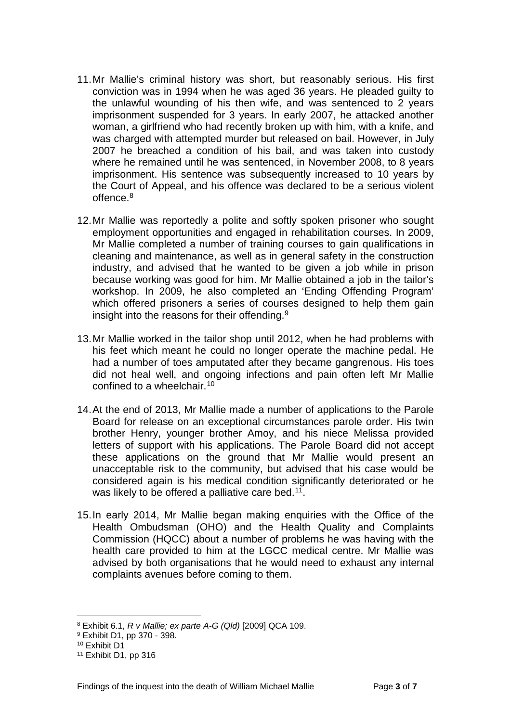- 11.Mr Mallie's criminal history was short, but reasonably serious. His first conviction was in 1994 when he was aged 36 years. He pleaded guilty to the unlawful wounding of his then wife, and was sentenced to 2 years imprisonment suspended for 3 years. In early 2007, he attacked another woman, a girlfriend who had recently broken up with him, with a knife, and was charged with attempted murder but released on bail. However, in July 2007 he breached a condition of his bail, and was taken into custody where he remained until he was sentenced, in November 2008, to 8 years imprisonment. His sentence was subsequently increased to 10 years by the Court of Appeal, and his offence was declared to be a serious violent offence.[8](#page-4-0)
- 12.Mr Mallie was reportedly a polite and softly spoken prisoner who sought employment opportunities and engaged in rehabilitation courses. In 2009, Mr Mallie completed a number of training courses to gain qualifications in cleaning and maintenance, as well as in general safety in the construction industry, and advised that he wanted to be given a job while in prison because working was good for him. Mr Mallie obtained a job in the tailor's workshop. In 2009, he also completed an 'Ending Offending Program' which offered prisoners a series of courses designed to help them gain insight into the reasons for their offending.<sup>[9](#page-4-1)</sup>
- 13.Mr Mallie worked in the tailor shop until 2012, when he had problems with his feet which meant he could no longer operate the machine pedal. He had a number of toes amputated after they became gangrenous. His toes did not heal well, and ongoing infections and pain often left Mr Mallie confined to a wheelchair.[10](#page-4-2)
- 14.At the end of 2013, Mr Mallie made a number of applications to the Parole Board for release on an exceptional circumstances parole order. His twin brother Henry, younger brother Amoy, and his niece Melissa provided letters of support with his applications. The Parole Board did not accept these applications on the ground that Mr Mallie would present an unacceptable risk to the community, but advised that his case would be considered again is his medical condition significantly deteriorated or he was likely to be offered a palliative care bed.<sup>11</sup>.
- 15.In early 2014, Mr Mallie began making enquiries with the Office of the Health Ombudsman (OHO) and the Health Quality and Complaints Commission (HQCC) about a number of problems he was having with the health care provided to him at the LGCC medical centre. Mr Mallie was advised by both organisations that he would need to exhaust any internal complaints avenues before coming to them.

<span id="page-4-2"></span><sup>10</sup> Exhibit D1

<span id="page-4-0"></span><sup>8</sup> Exhibit 6.1, *R v Mallie; ex parte A-G (Qld)* [2009] QCA 109.

<span id="page-4-1"></span><sup>9</sup> Exhibit D1, pp 370 - 398.

<span id="page-4-3"></span><sup>11</sup> Exhibit D1, pp 316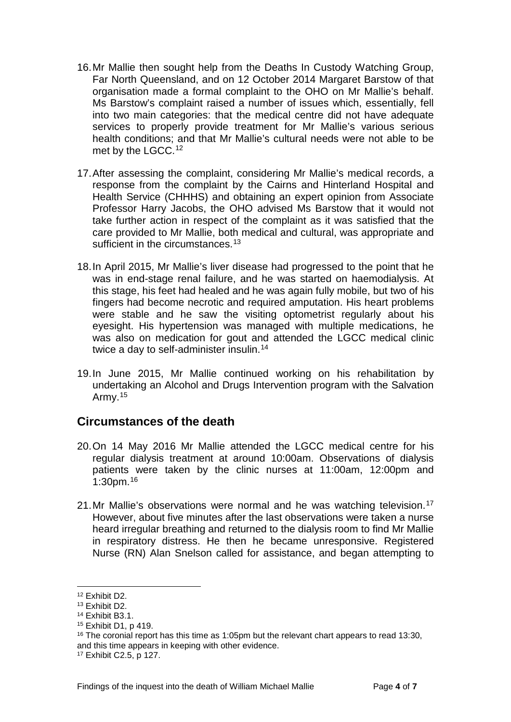- 16.Mr Mallie then sought help from the Deaths In Custody Watching Group, Far North Queensland, and on 12 October 2014 Margaret Barstow of that organisation made a formal complaint to the OHO on Mr Mallie's behalf. Ms Barstow's complaint raised a number of issues which, essentially, fell into two main categories: that the medical centre did not have adequate services to properly provide treatment for Mr Mallie's various serious health conditions; and that Mr Mallie's cultural needs were not able to be met by the LGCC.<sup>[12](#page-5-1)</sup>
- 17.After assessing the complaint, considering Mr Mallie's medical records, a response from the complaint by the Cairns and Hinterland Hospital and Health Service (CHHHS) and obtaining an expert opinion from Associate Professor Harry Jacobs, the OHO advised Ms Barstow that it would not take further action in respect of the complaint as it was satisfied that the care provided to Mr Mallie, both medical and cultural, was appropriate and sufficient in the circumstances.<sup>[13](#page-5-2)</sup>
- 18.In April 2015, Mr Mallie's liver disease had progressed to the point that he was in end-stage renal failure, and he was started on haemodialysis. At this stage, his feet had healed and he was again fully mobile, but two of his fingers had become necrotic and required amputation. His heart problems were stable and he saw the visiting optometrist regularly about his eyesight. His hypertension was managed with multiple medications, he was also on medication for gout and attended the LGCC medical clinic twice a day to self-administer insulin.<sup>[14](#page-5-3)</sup>
- 19.In June 2015, Mr Mallie continued working on his rehabilitation by undertaking an Alcohol and Drugs Intervention program with the Salvation Army. $15$

#### <span id="page-5-0"></span>**Circumstances of the death**

- 20.On 14 May 2016 Mr Mallie attended the LGCC medical centre for his regular dialysis treatment at around 10:00am. Observations of dialysis patients were taken by the clinic nurses at 11:00am, 12:00pm and 1:30pm.[16](#page-5-5)
- 21. Mr Mallie's observations were normal and he was watching television.<sup>[17](#page-5-6)</sup> However, about five minutes after the last observations were taken a nurse heard irregular breathing and returned to the dialysis room to find Mr Mallie in respiratory distress. He then he became unresponsive. Registered Nurse (RN) Alan Snelson called for assistance, and began attempting to

<span id="page-5-1"></span><sup>12</sup> Exhibit D2.

<span id="page-5-2"></span><sup>13</sup> Exhibit D2.

<span id="page-5-3"></span><sup>14</sup> Exhibit B3.1.

<span id="page-5-4"></span><sup>15</sup> Exhibit D1, p 419.

<span id="page-5-5"></span><sup>&</sup>lt;sup>16</sup> The coronial report has this time as 1:05pm but the relevant chart appears to read 13:30, and this time appears in keeping with other evidence.

<span id="page-5-6"></span><sup>17</sup> Exhibit C2.5, p 127.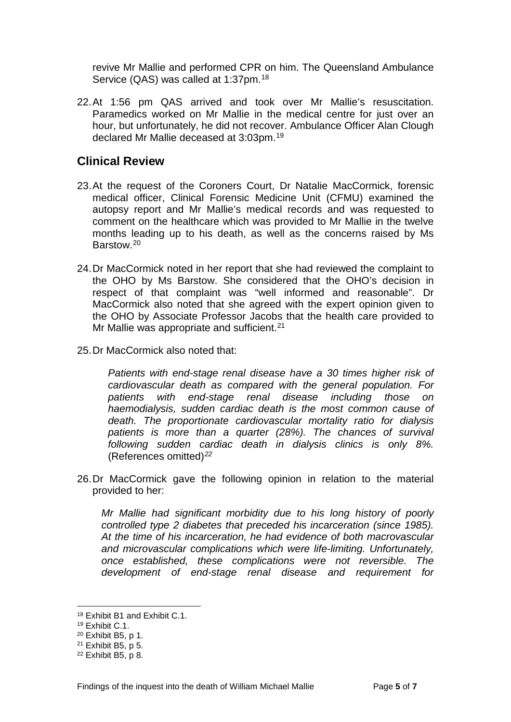revive Mr Mallie and performed CPR on him. The Queensland Ambulance Service (QAS) was called at 1:37pm.<sup>[18](#page-6-1)</sup>

22.At 1:56 pm QAS arrived and took over Mr Mallie's resuscitation. Paramedics worked on Mr Mallie in the medical centre for just over an hour, but unfortunately, he did not recover. Ambulance Officer Alan Clough declared Mr Mallie deceased at 3:03pm.[19](#page-6-2)

## <span id="page-6-0"></span>**Clinical Review**

- 23.At the request of the Coroners Court, Dr Natalie MacCormick, forensic medical officer, Clinical Forensic Medicine Unit (CFMU) examined the autopsy report and Mr Mallie's medical records and was requested to comment on the healthcare which was provided to Mr Mallie in the twelve months leading up to his death, as well as the concerns raised by Ms Barstow.[20](#page-6-3)
- 24.Dr MacCormick noted in her report that she had reviewed the complaint to the OHO by Ms Barstow. She considered that the OHO's decision in respect of that complaint was "well informed and reasonable". Dr MacCormick also noted that she agreed with the expert opinion given to the OHO by Associate Professor Jacobs that the health care provided to Mr Mallie was appropriate and sufficient.<sup>[21](#page-6-4)</sup>
- 25.Dr MacCormick also noted that:

*Patients with end-stage renal disease have a 30 times higher risk of cardiovascular death as compared with the general population. For patients with end-stage renal disease including those on haemodialysis, sudden cardiac death is the most common cause of death. The proportionate cardiovascular mortality ratio for dialysis patients is more than a quarter (28%). The chances of survival following sudden cardiac death in dialysis clinics is only 8%.* (References omitted)*[22](#page-6-5)*

26.Dr MacCormick gave the following opinion in relation to the material provided to her:

*Mr Mallie had significant morbidity due to his long history of poorly controlled type 2 diabetes that preceded his incarceration (since 1985). At the time of his incarceration, he had evidence of both macrovascular and microvascular complications which were life-limiting. Unfortunately, once established, these complications were not reversible. The development of end-stage renal disease and requirement for* 

<span id="page-6-1"></span><sup>18</sup> Exhibit B1 and Exhibit C.1.

<span id="page-6-2"></span><sup>19</sup> Exhibit C.1.

<sup>20</sup> Exhibit B5, p 1.

<span id="page-6-4"></span><span id="page-6-3"></span><sup>21</sup> Exhibit B5, p 5.

<span id="page-6-5"></span><sup>22</sup> Exhibit B5, p 8.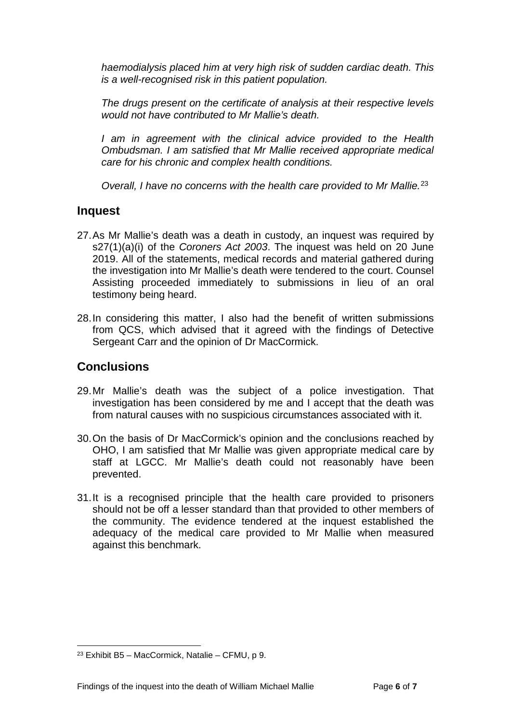*haemodialysis placed him at very high risk of sudden cardiac death. This is a well-recognised risk in this patient population.*

*The drugs present on the certificate of analysis at their respective levels would not have contributed to Mr Mallie's death.*

I am in agreement with the clinical advice provided to the Health *Ombudsman. I am satisfied that Mr Mallie received appropriate medical care for his chronic and complex health conditions.*

*Overall, I have no concerns with the health care provided to Mr Mallie.*[23](#page-7-2)

#### <span id="page-7-0"></span>**Inquest**

- 27.As Mr Mallie's death was a death in custody, an inquest was required by s27(1)(a)(i) of the *Coroners Act 2003*. The inquest was held on 20 June 2019. All of the statements, medical records and material gathered during the investigation into Mr Mallie's death were tendered to the court. Counsel Assisting proceeded immediately to submissions in lieu of an oral testimony being heard.
- 28.In considering this matter, I also had the benefit of written submissions from QCS, which advised that it agreed with the findings of Detective Sergeant Carr and the opinion of Dr MacCormick.

## <span id="page-7-1"></span>**Conclusions**

- 29.Mr Mallie's death was the subject of a police investigation. That investigation has been considered by me and I accept that the death was from natural causes with no suspicious circumstances associated with it.
- 30.On the basis of Dr MacCormick's opinion and the conclusions reached by OHO, I am satisfied that Mr Mallie was given appropriate medical care by staff at LGCC. Mr Mallie's death could not reasonably have been prevented.
- 31.It is a recognised principle that the health care provided to prisoners should not be off a lesser standard than that provided to other members of the community. The evidence tendered at the inquest established the adequacy of the medical care provided to Mr Mallie when measured against this benchmark.

<span id="page-7-2"></span> $23$  Exhibit B5 – MacCormick, Natalie – CFMU, p 9.  $\overline{a}$